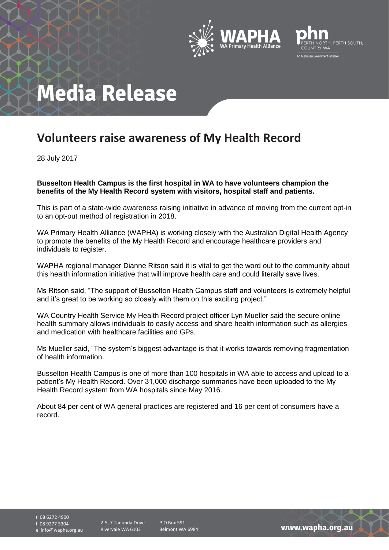



# **Media Release**

### **Volunteers raise awareness of My Health Record**

28 July 2017

**Busselton Health Campus is the first hospital in WA to have volunteers champion the benefits of the My Health Record system with visitors, hospital staff and patients.**

This is part of a state-wide awareness raising initiative in advance of moving from the current opt-in to an opt-out method of registration in 2018.

WA Primary Health Alliance (WAPHA) is working closely with the Australian Digital Health Agency to promote the benefits of the My Health Record and encourage healthcare providers and individuals to register.

WAPHA regional manager Dianne Ritson said it is vital to get the word out to the community about this health information initiative that will improve health care and could literally save lives.

Ms Ritson said, "The support of Busselton Health Campus staff and volunteers is extremely helpful and it's great to be working so closely with them on this exciting project."

WA Country Health Service My Health Record project officer Lyn Mueller said the secure online health summary allows individuals to easily access and share health information such as allergies and medication with healthcare facilities and GPs.

Ms Mueller said, "The system's biggest advantage is that it works towards removing fragmentation of health information.

Busselton Health Campus is one of more than 100 hospitals in WA able to access and upload to a patient's My Health Record. Over 31,000 discharge summaries have been uploaded to the My Health Record system from WA hospitals since May 2016.

About 84 per cent of WA general practices are registered and 16 per cent of consumers have a record.

t 08 6272 4900 f 08 9277 5304 e info@wapha.org.au

2-5, 7 Tanunda Drive Rivervale WA 6103

P.O Box 591 Belmont WA 6984

www.wapha.org.au